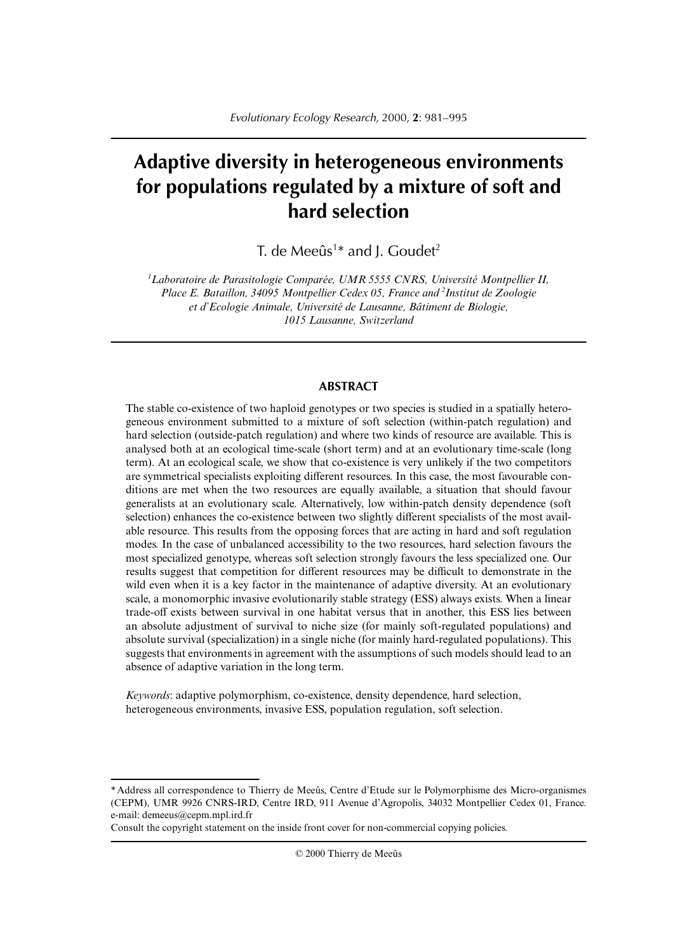# **Adaptive diversity in heterogeneous environments for populations regulated by a mixture of soft and hard selection**

T. de Meeûs<sup>1\*</sup> and J. Goudet<sup>2</sup>

*1 Laboratoire de Parasitologie Comparée, UMR 5555 CNRS, Université Montpellier II, Place E. Bataillon, 34095 Montpellier Cedex 05, France and 2 Institut de Zoologie et d'Ecologie Animale, Université de Lausanne, Bâtiment de Biologie, 1015 Lausanne, Switzerland*

## **ABSTRACT**

The stable co-existence of two haploid genotypes or two species is studied in a spatially heterogeneous environment submitted to a mixture of soft selection (within-patch regulation) and hard selection (outside-patch regulation) and where two kinds of resource are available. This is analysed both at an ecological time-scale (short term) and at an evolutionary time-scale (long term). At an ecological scale, we show that co-existence is very unlikely if the two competitors are symmetrical specialists exploiting different resources. In this case, the most favourable conditions are met when the two resources are equally available, a situation that should favour generalists at an evolutionary scale. Alternatively, low within-patch density dependence (soft selection) enhances the co-existence between two slightly different specialists of the most available resource. This results from the opposing forces that are acting in hard and soft regulation modes. In the case of unbalanced accessibility to the two resources, hard selection favours the most specialized genotype, whereas soft selection strongly favours the less specialized one. Our results suggest that competition for different resources may be difficult to demonstrate in the wild even when it is a key factor in the maintenance of adaptive diversity. At an evolutionary scale, a monomorphic invasive evolutionarily stable strategy (ESS) always exists. When a linear trade-off exists between survival in one habitat versus that in another, this ESS lies between an absolute adjustment of survival to niche size (for mainly soft-regulated populations) and absolute survival (specialization) in a single niche (for mainly hard-regulated populations). This suggests that environments in agreement with the assumptions of such models should lead to an absence of adaptive variation in the long term.

*Keywords*: adaptive polymorphism, co-existence, density dependence, hard selection, heterogeneous environments, invasive ESS, population regulation, soft selection.

<sup>\*</sup> Address all correspondence to Thierry de Meeûs, Centre d'Etude sur le Polymorphisme des Micro-organismes (CEPM), UMR 9926 CNRS-IRD, Centre IRD, 911 Avenue d'Agropolis, 34032 Montpellier Cedex 01, France. e-mail: demeeus@cepm.mpl.ird.fr

Consult the copyright statement on the inside front cover for non-commercial copying policies.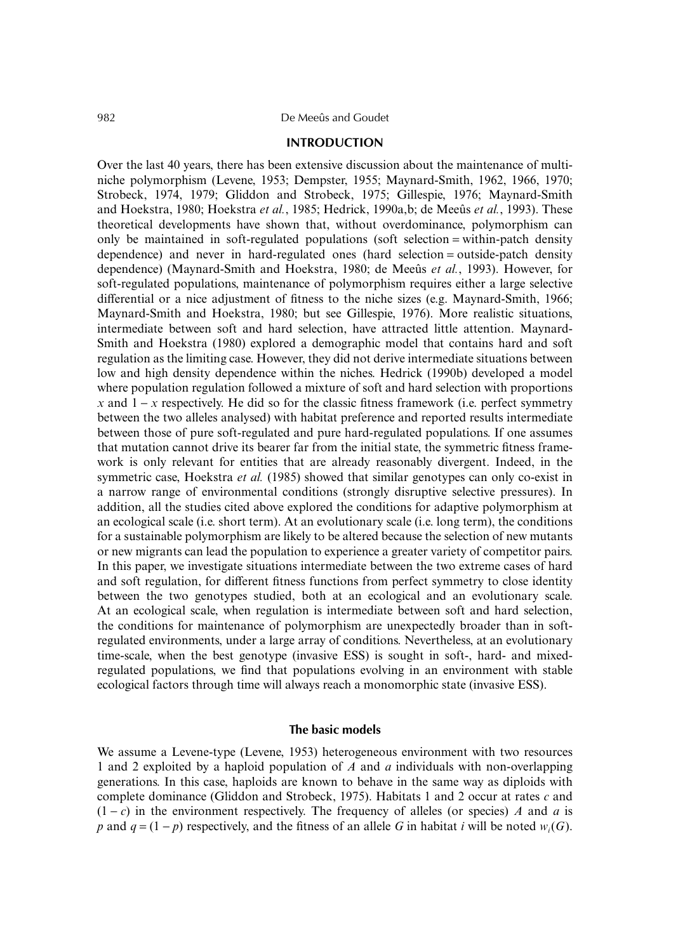#### **INTRODUCTION**

Over the last 40 years, there has been extensive discussion about the maintenance of multiniche polymorphism (Levene, 1953; Dempster, 1955; Maynard-Smith, 1962, 1966, 1970; Strobeck, 1974, 1979; Gliddon and Strobeck, 1975; Gillespie, 1976; Maynard-Smith and Hoekstra, 1980; Hoekstra *et al.*, 1985; Hedrick, 1990a,b; de Meeûs *et al.*, 1993). These theoretical developments have shown that, without overdominance, polymorphism can only be maintained in soft-regulated populations (soft selection = within-patch density dependence) and never in hard-regulated ones (hard selection = outside-patch density dependence) (Maynard-Smith and Hoekstra, 1980; de Meeûs *et al.*, 1993). However, for soft-regulated populations, maintenance of polymorphism requires either a large selective differential or a nice adjustment of fitness to the niche sizes (e.g. Maynard-Smith, 1966; Maynard-Smith and Hoekstra, 1980; but see Gillespie, 1976). More realistic situations, intermediate between soft and hard selection, have attracted little attention. Maynard-Smith and Hoekstra (1980) explored a demographic model that contains hard and soft regulation as the limiting case. However, they did not derive intermediate situations between low and high density dependence within the niches. Hedrick (1990b) developed a model where population regulation followed a mixture of soft and hard selection with proportions *x* and  $1 - x$  respectively. He did so for the classic fitness framework (i.e. perfect symmetry between the two alleles analysed) with habitat preference and reported results intermediate between those of pure soft-regulated and pure hard-regulated populations. If one assumes that mutation cannot drive its bearer far from the initial state, the symmetric fitness framework is only relevant for entities that are already reasonably divergent. Indeed, in the symmetric case, Hoekstra *et al.* (1985) showed that similar genotypes can only co-exist in a narrow range of environmental conditions (strongly disruptive selective pressures). In addition, all the studies cited above explored the conditions for adaptive polymorphism at an ecological scale (i.e. short term). At an evolutionary scale (i.e. long term), the conditions for a sustainable polymorphism are likely to be altered because the selection of new mutants or new migrants can lead the population to experience a greater variety of competitor pairs. In this paper, we investigate situations intermediate between the two extreme cases of hard and soft regulation, for different fitness functions from perfect symmetry to close identity between the two genotypes studied, both at an ecological and an evolutionary scale. At an ecological scale, when regulation is intermediate between soft and hard selection, the conditions for maintenance of polymorphism are unexpectedly broader than in softregulated environments, under a large array of conditions. Nevertheless, at an evolutionary time-scale, when the best genotype (invasive ESS) is sought in soft-, hard- and mixedregulated populations, we find that populations evolving in an environment with stable ecological factors through time will always reach a monomorphic state (invasive ESS).

### **The basic models**

We assume a Levene-type (Levene, 1953) heterogeneous environment with two resources 1 and 2 exploited by a haploid population of *A* and *a* individuals with non-overlapping generations. In this case, haploids are known to behave in the same way as diploids with complete dominance (Gliddon and Strobeck, 1975). Habitats 1 and 2 occur at rates *c* and  $(1 - c)$  in the environment respectively. The frequency of alleles (or species) *A* and *a* is *p* and  $q = (1 - p)$  respectively, and the fitness of an allele *G* in habitat *i* will be noted *w<sub>i</sub>*(*G*).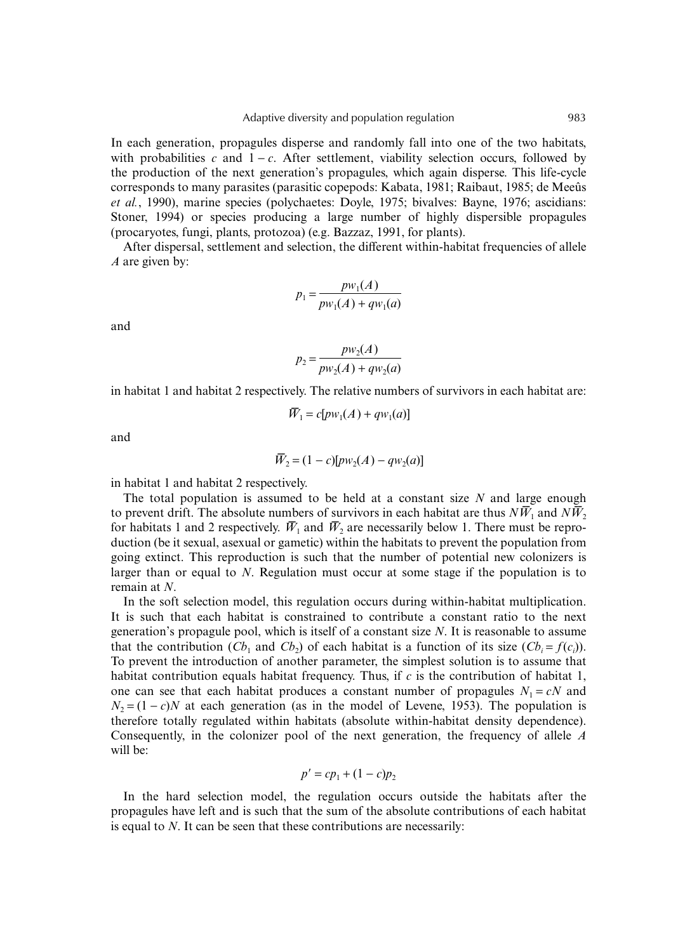In each generation, propagules disperse and randomly fall into one of the two habitats, with probabilities *c* and  $1 - c$ . After settlement, viability selection occurs, followed by the production of the next generation's propagules, which again disperse. This life-cycle corresponds to many parasites (parasitic copepods: Kabata, 1981; Raibaut, 1985; de Meeûs *et al.*, 1990), marine species (polychaetes: Doyle, 1975; bivalves: Bayne, 1976; ascidians: Stoner, 1994) or species producing a large number of highly dispersible propagules (procaryotes, fungi, plants, protozoa) (e.g. Bazzaz, 1991, for plants).

After dispersal, settlement and selection, the different within-habitat frequencies of allele *A* are given by:

$$
p_1 = \frac{p w_1(A)}{p w_1(A) + q w_1(a)}
$$

and

$$
p_2 = \frac{p w_2(A)}{p w_2(A) + q w_2(a)}
$$

in habitat 1 and habitat 2 respectively. The relative numbers of survivors in each habitat are:

$$
\overline{W}_1 = c[pw_1(A) + qw_1(a)]
$$

and

$$
\overline{W}_2 = (1-c)[pw_2(A) - qw_2(a)]
$$

in habitat 1 and habitat 2 respectively.

The total population is assumed to be held at a constant size *N* and large enough to prevent drift. The absolute numbers of survivors in each habitat are thus  $N\bar{W}_1$  and  $N\bar{W}_2$ for habitats 1 and 2 respectively.  $\bar{W}_1$  and  $\bar{W}_2$  are necessarily below 1. There must be reproduction (be it sexual, asexual or gametic) within the habitats to prevent the population from going extinct. This reproduction is such that the number of potential new colonizers is larger than or equal to *N*. Regulation must occur at some stage if the population is to remain at *N*.

In the soft selection model, this regulation occurs during within-habitat multiplication. It is such that each habitat is constrained to contribute a constant ratio to the next generation's propagule pool, which is itself of a constant size *N*. It is reasonable to assume that the contribution  $(Cb_1$  and  $Cb_2)$  of each habitat is a function of its size  $(Cb_i = f(c_i))$ . To prevent the introduction of another parameter, the simplest solution is to assume that habitat contribution equals habitat frequency. Thus, if *c* is the contribution of habitat 1, one can see that each habitat produces a constant number of propagules  $N_1 = cN$  and  $N_2 = (1 - c)N$  at each generation (as in the model of Levene, 1953). The population is therefore totally regulated within habitats (absolute within-habitat density dependence). Consequently, in the colonizer pool of the next generation, the frequency of allele *A* will be:

$$
p' = cp_1 + (1 - c)p_2
$$

In the hard selection model, the regulation occurs outside the habitats after the propagules have left and is such that the sum of the absolute contributions of each habitat is equal to *N*. It can be seen that these contributions are necessarily: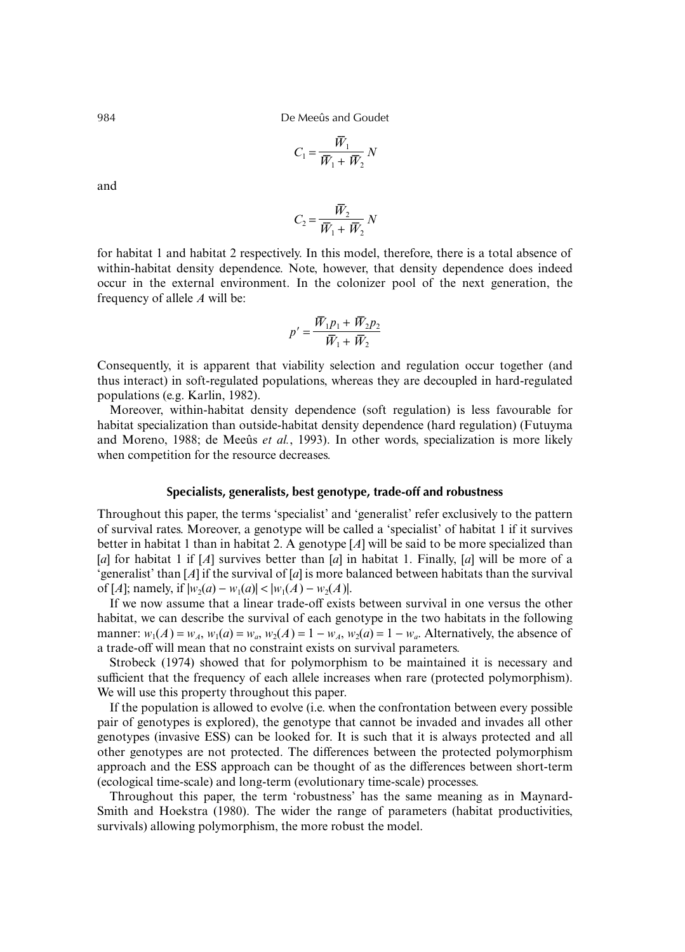984 De Meeûs and Goudet

$$
C_1 = \frac{\overline{W}_1}{\overline{W}_1 + \overline{W}_2} N
$$

and

$$
C_2 = \frac{\overline{W}_2}{\overline{W}_1 + \overline{W}_2} N
$$

for habitat 1 and habitat 2 respectively. In this model, therefore, there is a total absence of within-habitat density dependence. Note, however, that density dependence does indeed occur in the external environment. In the colonizer pool of the next generation, the frequency of allele *A* will be:

$$
p' = \frac{\overline{W}_1 p_1 + \overline{W}_2 p_2}{\overline{W}_1 + \overline{W}_2}
$$

Consequently, it is apparent that viability selection and regulation occur together (and thus interact) in soft-regulated populations, whereas they are decoupled in hard-regulated populations (e.g. Karlin, 1982).

Moreover, within-habitat density dependence (soft regulation) is less favourable for habitat specialization than outside-habitat density dependence (hard regulation) (Futuyma and Moreno, 1988; de Meeûs *et al.*, 1993). In other words, specialization is more likely when competition for the resource decreases.

# **Specialists, generalists, best genotype, trade-off and robustness**

Throughout this paper, the terms 'specialist' and 'generalist' refer exclusively to the pattern of survival rates. Moreover, a genotype will be called a 'specialist' of habitat 1 if it survives better in habitat 1 than in habitat 2. A genotype [*A*] will be said to be more specialized than [*a*] for habitat 1 if [*A*] survives better than [*a*] in habitat 1. Finally, [*a*] will be more of a 'generalist' than [*A*] if the survival of [*a*] is more balanced between habitats than the survival of [*A*]; namely, if  $|w_2(a) - w_1(a)| < |w_1(A) - w_2(A)|$ .

If we now assume that a linear trade-off exists between survival in one versus the other habitat, we can describe the survival of each genotype in the two habitats in the following manner:  $w_1(A) = w_A$ ,  $w_1(a) = w_a$ ,  $w_2(A) = 1 - w_A$ ,  $w_2(a) = 1 - w_a$ . Alternatively, the absence of a trade-off will mean that no constraint exists on survival parameters.

Strobeck (1974) showed that for polymorphism to be maintained it is necessary and sufficient that the frequency of each allele increases when rare (protected polymorphism). We will use this property throughout this paper.

If the population is allowed to evolve (i.e. when the confrontation between every possible pair of genotypes is explored), the genotype that cannot be invaded and invades all other genotypes (invasive ESS) can be looked for. It is such that it is always protected and all other genotypes are not protected. The differences between the protected polymorphism approach and the ESS approach can be thought of as the differences between short-term (ecological time-scale) and long-term (evolutionary time-scale) processes.

Throughout this paper, the term 'robustness' has the same meaning as in Maynard-Smith and Hoekstra (1980). The wider the range of parameters (habitat productivities, survivals) allowing polymorphism, the more robust the model.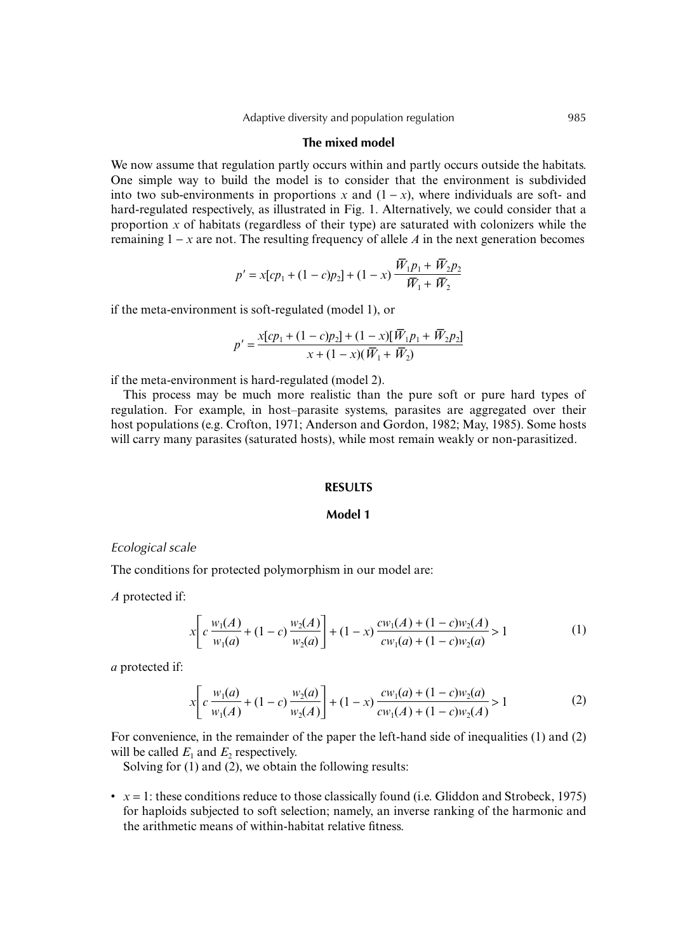### **The mixed model**

We now assume that regulation partly occurs within and partly occurs outside the habitats. One simple way to build the model is to consider that the environment is subdivided into two sub-environments in proportions *x* and  $(1 - x)$ , where individuals are soft- and hard-regulated respectively, as illustrated in Fig. 1. Alternatively, we could consider that a proportion  $\bar{x}$  of habitats (regardless of their type) are saturated with colonizers while the remaining 1 − *x* are not. The resulting frequency of allele *A* in the next generation becomes

$$
p' = x[cp_1 + (1-c)p_2] + (1-x)\frac{\overline{W}_1p_1 + \overline{W}_2p_2}{\overline{W}_1 + \overline{W}_2}
$$

if the meta-environment is soft-regulated (model 1), or

$$
p' = \frac{x[cp_1 + (1-c)p_2] + (1-x)[\overline{W}_1p_1 + \overline{W}_2p_2]}{x + (1-x)(\overline{W}_1 + \overline{W}_2)}
$$

if the meta-environment is hard-regulated (model 2).

This process may be much more realistic than the pure soft or pure hard types of regulation. For example, in host–parasite systems, parasites are aggregated over their host populations (e.g. Crofton, 1971; Anderson and Gordon, 1982; May, 1985). Some hosts will carry many parasites (saturated hosts), while most remain weakly or non-parasitized.

# **RESULTS**

# **Model 1**

#### *Ecological scale*

The conditions for protected polymorphism in our model are:

*A* protected if:

$$
x \left[ c \frac{w_1(A)}{w_1(a)} + (1-c) \frac{w_2(A)}{w_2(a)} \right] + (1-x) \frac{cw_1(A) + (1-c)w_2(A)}{cw_1(a) + (1-c)w_2(a)} > 1
$$
 (1)

*a* protected if:

$$
x \left[ c \frac{w_1(a)}{w_1(A)} + (1 - c) \frac{w_2(a)}{w_2(A)} \right] + (1 - x) \frac{cw_1(a) + (1 - c)w_2(a)}{cw_1(A) + (1 - c)w_2(A)} > 1
$$
 (2)

For convenience, in the remainder of the paper the left-hand side of inequalities (1) and (2) will be called  $E_1$  and  $E_2$  respectively.

Solving for (1) and (2), we obtain the following results:

 $\bullet$   $x = 1$ : these conditions reduce to those classically found (i.e. Gliddon and Strobeck, 1975) for haploids subjected to soft selection; namely, an inverse ranking of the harmonic and the arithmetic means of within-habitat relative fitness.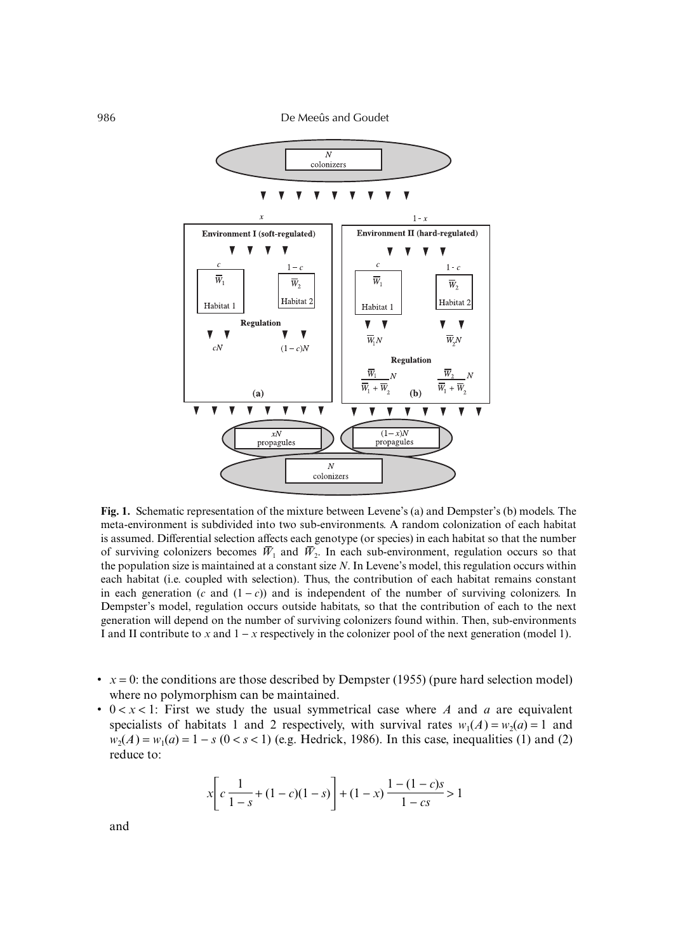

**Fig. 1.** Schematic representation of the mixture between Levene's (a) and Dempster's (b) models. The meta-environment is subdivided into two sub-environments. A random colonization of each habitat is assumed. Differential selection affects each genotype (or species) in each habitat so that the number of surviving colonizers becomes  $\bar{W}_1$  and  $\bar{W}_2$ . In each sub-environment, regulation occurs so that the population size is maintained at a constant size *N*. In Levene's model, this regulation occurs within each habitat (i.e. coupled with selection). Thus, the contribution of each habitat remains constant in each generation (*c* and  $(1 - c)$ ) and is independent of the number of surviving colonizers. In Dempster's model, regulation occurs outside habitats, so that the contribution of each to the next generation will depend on the number of surviving colonizers found within. Then, sub-environments I and II contribute to *x* and 1 − *x* respectively in the colonizer pool of the next generation (model 1).

- $x = 0$ : the conditions are those described by Dempster (1955) (pure hard selection model) where no polymorphism can be maintained.
- 0 < *x* < 1: First we study the usual symmetrical case where *A* and *a* are equivalent specialists of habitats 1 and 2 respectively, with survival rates  $w_1(A) = w_2(a) = 1$  and  $w_2(A) = w_1(a) = 1 - s$  ( $0 < s < 1$ ) (e.g. Hedrick, 1986). In this case, inequalities (1) and (2) reduce to:

$$
x \left[ c \frac{1}{1-s} + (1-c)(1-s) \right] + (1-x) \frac{1-(1-c)s}{1-cs} > 1
$$

and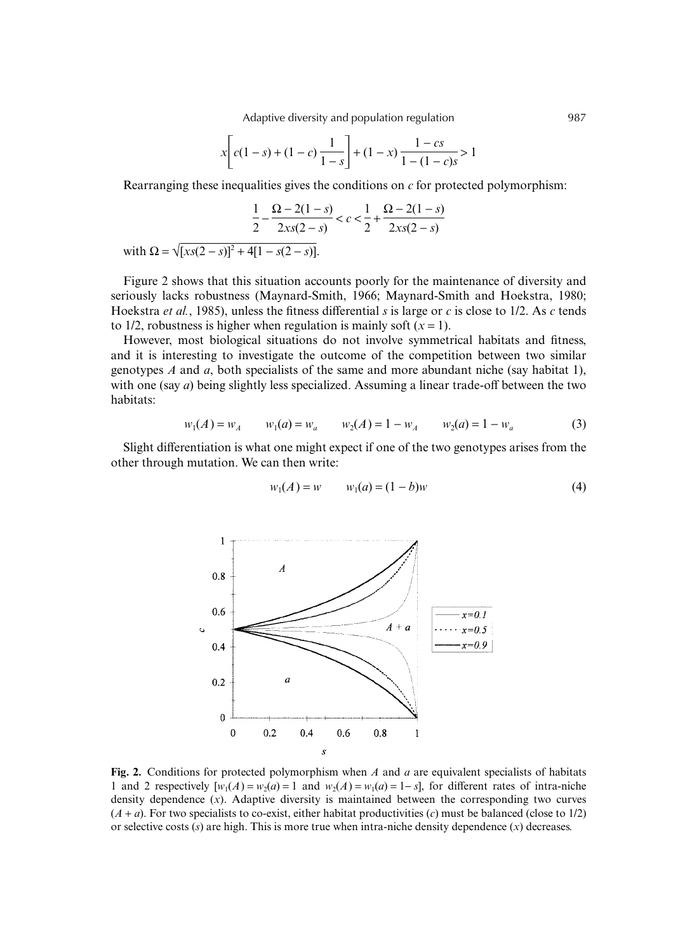Adaptive diversity and population regulation 1987

$$
x\left[c(1-s) + (1-c)\frac{1}{1-s}\right] + (1-x)\frac{1-cs}{1-(1-c)s} > 1
$$

Rearranging these inequalities gives the conditions on *c* for protected polymorphism:

$$
\frac{1}{2} - \frac{\Omega - 2(1 - s)}{2xs(2 - s)} < c < \frac{1}{2} + \frac{\Omega - 2(1 - s)}{2xs(2 - s)}
$$
\nwith 
$$
\Omega = \sqrt{[xs(2 - s)]^2 + 4[1 - s(2 - s)]}.
$$

Figure 2 shows that this situation accounts poorly for the maintenance of diversity and seriously lacks robustness (Maynard-Smith, 1966; Maynard-Smith and Hoekstra, 1980; Hoekstra *et al.*, 1985), unless the fitness differential *s* is large or *c* is close to 1/2. As *c* tends to 1/2, robustness is higher when regulation is mainly soft  $(x = 1)$ .

However, most biological situations do not involve symmetrical habitats and fitness, and it is interesting to investigate the outcome of the competition between two similar genotypes *A* and *a*, both specialists of the same and more abundant niche (say habitat 1), with one (say *a*) being slightly less specialized. Assuming a linear trade-off between the two habitats:

$$
w_1(A) = w_A \qquad w_1(a) = w_a \qquad w_2(A) = 1 - w_A \qquad w_2(a) = 1 - w_a \tag{3}
$$

Slight differentiation is what one might expect if one of the two genotypes arises from the other through mutation. We can then write:

$$
w_1(A) = w \qquad w_1(a) = (1 - b)w \tag{4}
$$



**Fig. 2.** Conditions for protected polymorphism when *A* and *a* are equivalent specialists of habitats 1 and 2 respectively  $[w_1(A) = w_2(a) = 1$  and  $w_2(A) = w_1(a) = 1 - s$ , for different rates of intra-niche density dependence (*x*). Adaptive diversity is maintained between the corresponding two curves  $(A + a)$ . For two specialists to co-exist, either habitat productivities  $(c)$  must be balanced (close to 1/2) or selective costs (*s*) are high. This is more true when intra-niche density dependence (*x*) decreases.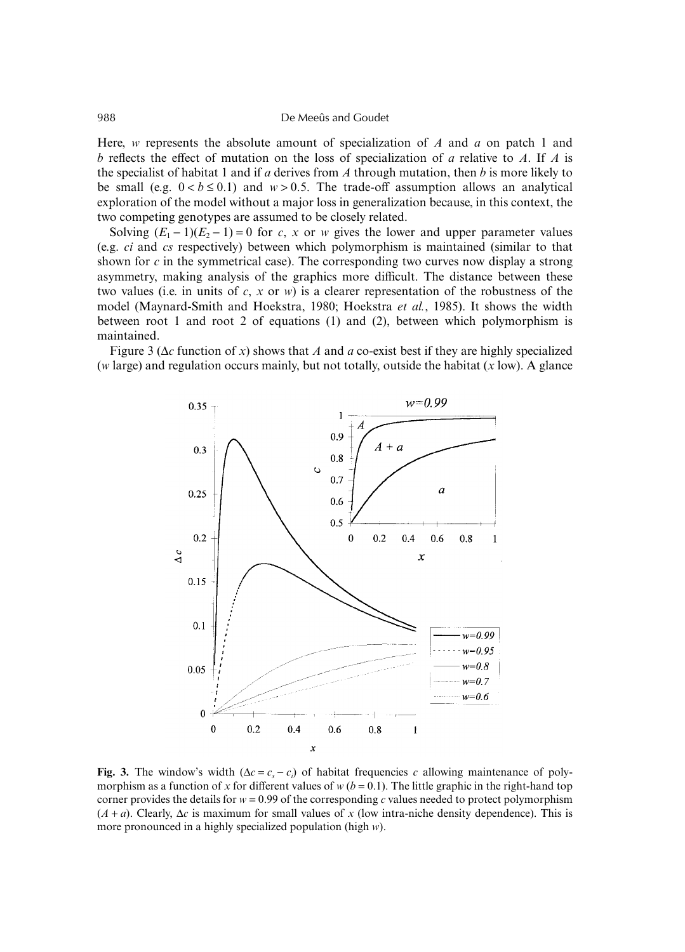Here, *w* represents the absolute amount of specialization of *A* and *a* on patch 1 and *b* reflects the effect of mutation on the loss of specialization of *a* relative to *A*. If *A* is the specialist of habitat 1 and if *a* derives from *A* through mutation, then *b* is more likely to be small (e.g.  $0 < b \le 0.1$ ) and  $w > 0.5$ . The trade-off assumption allows an analytical exploration of the model without a major loss in generalization because, in this context, the two competing genotypes are assumed to be closely related.

Solving  $(E_1 - 1)(E_2 - 1) = 0$  for *c*, *x* or *w* gives the lower and upper parameter values (e.g. *ci* and *cs* respectively) between which polymorphism is maintained (similar to that shown for *c* in the symmetrical case). The corresponding two curves now display a strong asymmetry, making analysis of the graphics more difficult. The distance between these two values (i.e. in units of  $c$ ,  $x$  or  $w$ ) is a clearer representation of the robustness of the model (Maynard-Smith and Hoekstra, 1980; Hoekstra *et al.*, 1985). It shows the width between root 1 and root 2 of equations (1) and (2), between which polymorphism is maintained.

Figure 3 (∆*c* function of *x*) shows that *A* and *a* co-exist best if they are highly specialized (*w* large) and regulation occurs mainly, but not totally, outside the habitat (*x* low). A glance



**Fig. 3.** The window's width  $(\Delta c = c_s - c_i)$  of habitat frequencies *c* allowing maintenance of polymorphism as a function of *x* for different values of  $w (b = 0.1)$ . The little graphic in the right-hand top corner provides the details for  $w = 0.99$  of the corresponding *c* values needed to protect polymorphism (*A* + *a*). Clearly, ∆*c* is maximum for small values of *x* (low intra-niche density dependence). This is more pronounced in a highly specialized population (high *w*).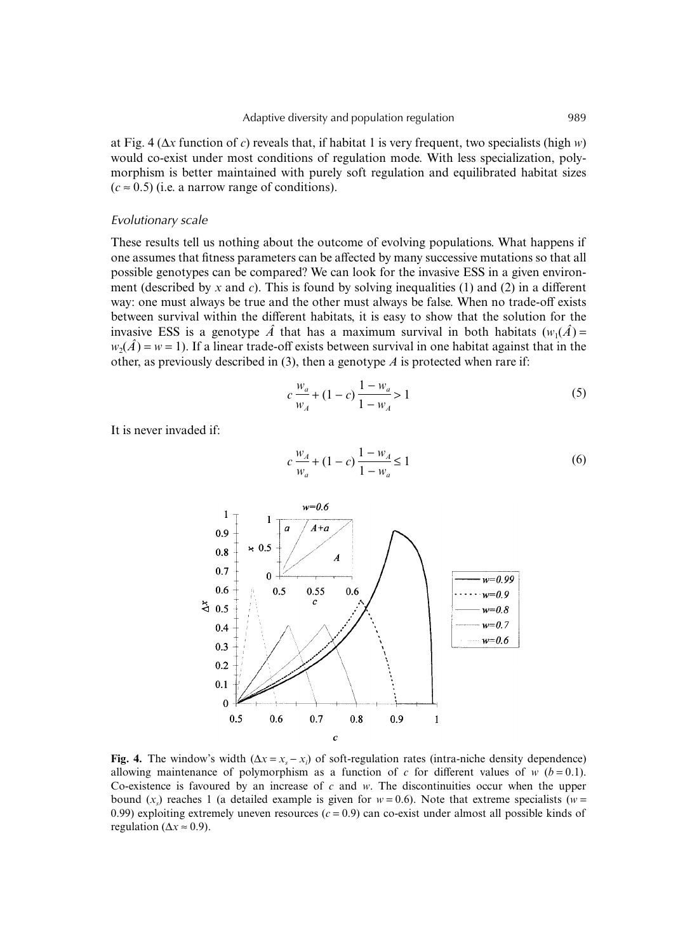at Fig. 4 (∆*x* function of *c*) reveals that, if habitat 1 is very frequent, two specialists (high *w*) would co-exist under most conditions of regulation mode. With less specialization, polymorphism is better maintained with purely soft regulation and equilibrated habitat sizes  $(c \approx 0.5)$  (i.e. a narrow range of conditions).

## *Evolutionary scale*

These results tell us nothing about the outcome of evolving populations. What happens if one assumes that fitness parameters can be affected by many successive mutations so that all possible genotypes can be compared? We can look for the invasive ESS in a given environment (described by *x* and *c*). This is found by solving inequalities (1) and (2) in a different way: one must always be true and the other must always be false. When no trade-off exists between survival within the different habitats, it is easy to show that the solution for the invasive ESS is a genotype  $\hat{A}$  that has a maximum survival in both habitats  $(w_1(\hat{A}) =$  $w_2(\hat{A}) = w = 1$ ). If a linear trade-off exists between survival in one habitat against that in the other, as previously described in (3), then a genotype *A* is protected when rare if:

$$
c\frac{w_a}{w_A} + (1 - c)\frac{1 - w_a}{1 - w_A} > 1\tag{5}
$$

It is never invaded if:

$$
c\frac{w_A}{w_a} + (1 - c)\frac{1 - w_A}{1 - w_a} \le 1\tag{6}
$$



**Fig. 4.** The window's width  $(\Delta x = x_s - x_i)$  of soft-regulation rates (intra-niche density dependence) allowing maintenance of polymorphism as a function of  $c$  for different values of  $w$  ( $b = 0.1$ ). Co-existence is favoured by an increase of *c* and *w*. The discontinuities occur when the upper bound  $(x<sub>s</sub>)$  reaches 1 (a detailed example is given for  $w = 0.6$ ). Note that extreme specialists ( $w =$ 0.99) exploiting extremely uneven resources  $(c = 0.9)$  can co-exist under almost all possible kinds of regulation ( $\Delta x \approx 0.9$ ).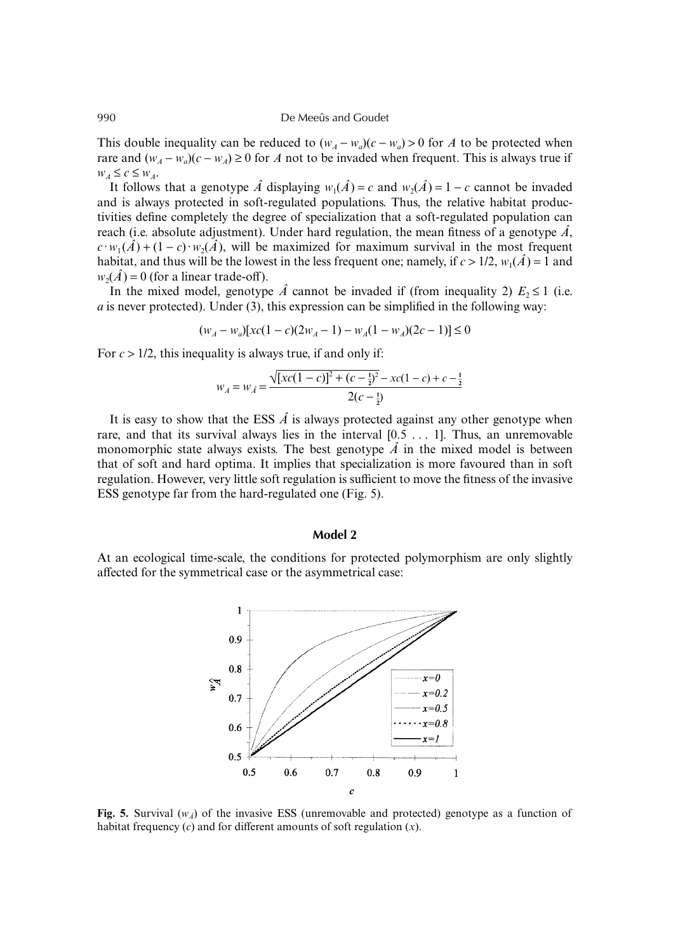This double inequality can be reduced to  $(w<sub>A</sub> - w<sub>a</sub>)(c - w<sub>a</sub>) > 0$  for *A* to be protected when rare and  $(w_4 - w_4)(c - w_4) \ge 0$  for *A* not to be invaded when frequent. This is always true if  $W_A \leq c \leq W_A$ .

It follows that a genotype  $\hat{A}$  displaying  $w_1(\hat{A}) = c$  and  $w_2(\hat{A}) = 1 - c$  cannot be invaded and is always protected in soft-regulated populations. Thus, the relative habitat productivities define completely the degree of specialization that a soft-regulated population can reach (i.e. absolute adjustment). Under hard regulation, the mean fitness of a genotype  $\hat{A}$ ,  $c \cdot w_1(\hat{A}) + (1 - c) \cdot w_2(\hat{A})$ , will be maximized for maximum survival in the most frequent habitat, and thus will be the lowest in the less frequent one; namely, if  $c > 1/2$ ,  $w_1(\hat{A}) = 1$  and  $w_2(\hat{A}) = 0$  (for a linear trade-off).

In the mixed model, genotype  $\hat{A}$  cannot be invaded if (from inequality 2)  $E_2 \le 1$  (i.e. *a* is never protected). Under (3), this expression can be simplified in the following way:

$$
(w_A - w_a)[xc(1 - c)(2w_A - 1) - w_A(1 - w_A)(2c - 1)] \le 0
$$

For *c* > 1/2, this inequality is always true, if and only if:

$$
w_A = w_A = \frac{\sqrt{[xc(1-c)]^2 + (c - \frac{1}{2})^2} - xc(1-c) + c - \frac{1}{2}}{2(c - \frac{1}{2})}
$$

It is easy to show that the ESS  $\hat{A}$  is always protected against any other genotype when rare, and that its survival always lies in the interval  $[0.5 \ldots 1]$ . Thus, an unremovable monomorphic state always exists. The best genotype  $\hat{A}$  in the mixed model is between that of soft and hard optima. It implies that specialization is more favoured than in soft regulation. However, very little soft regulation is sufficient to move the fitness of the invasive ESS genotype far from the hard-regulated one (Fig. 5).

## **Model 2**

At an ecological time-scale, the conditions for protected polymorphism are only slightly affected for the symmetrical case or the asymmetrical case:



**Fig. 5.** Survival  $(w_A)$  of the invasive ESS (unremovable and protected) genotype as a function of habitat frequency (*c*) and for different amounts of soft regulation (*x*).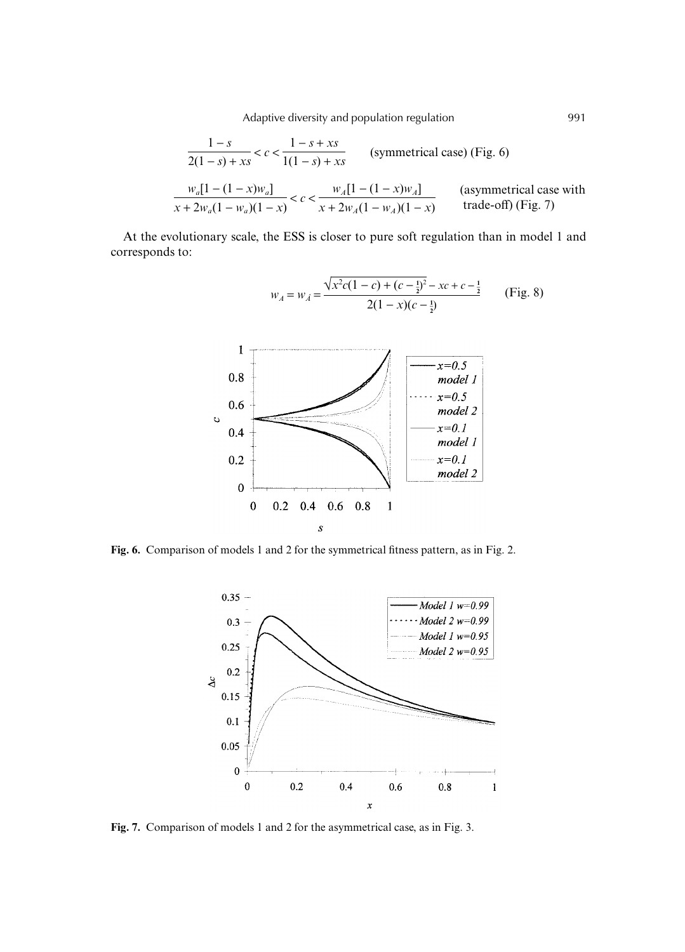Adaptive diversity and population regulation 1991

$$
\frac{1-s}{2(1-s) + xs} < c < \frac{1-s+xs}{1(1-s) + xs}
$$
 (symmetrical case) (Fig. 6)  

$$
\frac{w_a[1-(1-x)w_a]}{x+2w_a(1-w_a)(1-x)} < c < \frac{w_A[1-(1-x)w_A]}{x+2w_A(1-w_A)(1-x)}
$$
 (asymmetrical case with  
trade-off) (Fig. 7)

 $w_A = w_{\hat{A}} = \frac{\sqrt{x^2c(1-c)+(c-\frac{1}{2})^2-xc+c-\frac{1}{2}}}{2(1-c)}$ 

 $2(1-x)(c-\frac{1}{2})$ 

At the evolutionary scale, the ESS is closer to pure soft regulation than in model 1 and corresponds to:

| 1   | $x=0.5$ |
|-----|---------|
| 0.6 | $0.4$   |
| 0.4 | $x=0.1$ |
| 0.2 | $x=0.1$ |
| 0   | $x=0.1$ |
| 0   | $x=0.1$ |
| 0   | $x=0.1$ |
| 0   | $x=0.1$ |

**Fig. 6.** Comparison of models 1 and 2 for the symmetrical fitness pattern, as in Fig. 2.



**Fig. 7.** Comparison of models 1 and 2 for the asymmetrical case, as in Fig. 3.

(Fig. 8)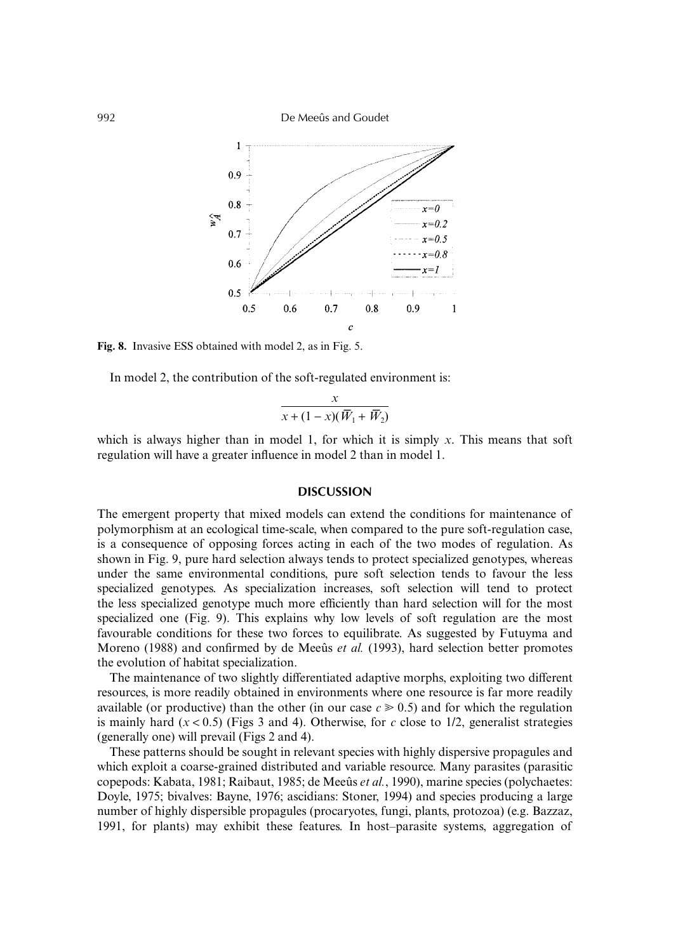992 De Meeûs and Goudet



**Fig. 8.** Invasive ESS obtained with model 2, as in Fig. 5.

In model 2, the contribution of the soft-regulated environment is:

$$
\frac{x}{x + (1 - x)(\overline{W}_1 + \overline{W}_2)}
$$

which is always higher than in model 1, for which it is simply *x*. This means that soft regulation will have a greater influence in model 2 than in model 1.

## **DISCUSSION**

The emergent property that mixed models can extend the conditions for maintenance of polymorphism at an ecological time-scale, when compared to the pure soft-regulation case, is a consequence of opposing forces acting in each of the two modes of regulation. As shown in Fig. 9, pure hard selection always tends to protect specialized genotypes, whereas under the same environmental conditions, pure soft selection tends to favour the less specialized genotypes. As specialization increases, soft selection will tend to protect the less specialized genotype much more efficiently than hard selection will for the most specialized one (Fig. 9). This explains why low levels of soft regulation are the most favourable conditions for these two forces to equilibrate. As suggested by Futuyma and Moreno (1988) and confirmed by de Meeûs *et al.* (1993), hard selection better promotes the evolution of habitat specialization.

The maintenance of two slightly differentiated adaptive morphs, exploiting two different resources, is more readily obtained in environments where one resource is far more readily available (or productive) than the other (in our case  $c \geq 0.5$ ) and for which the regulation is mainly hard  $(x < 0.5)$  (Figs 3 and 4). Otherwise, for *c* close to 1/2, generalist strategies (generally one) will prevail (Figs 2 and 4).

These patterns should be sought in relevant species with highly dispersive propagules and which exploit a coarse-grained distributed and variable resource. Many parasites (parasitic copepods: Kabata, 1981; Raibaut, 1985; de Meeûs *et al.*, 1990), marine species (polychaetes: Doyle, 1975; bivalves: Bayne, 1976; ascidians: Stoner, 1994) and species producing a large number of highly dispersible propagules (procaryotes, fungi, plants, protozoa) (e.g. Bazzaz, 1991, for plants) may exhibit these features. In host–parasite systems, aggregation of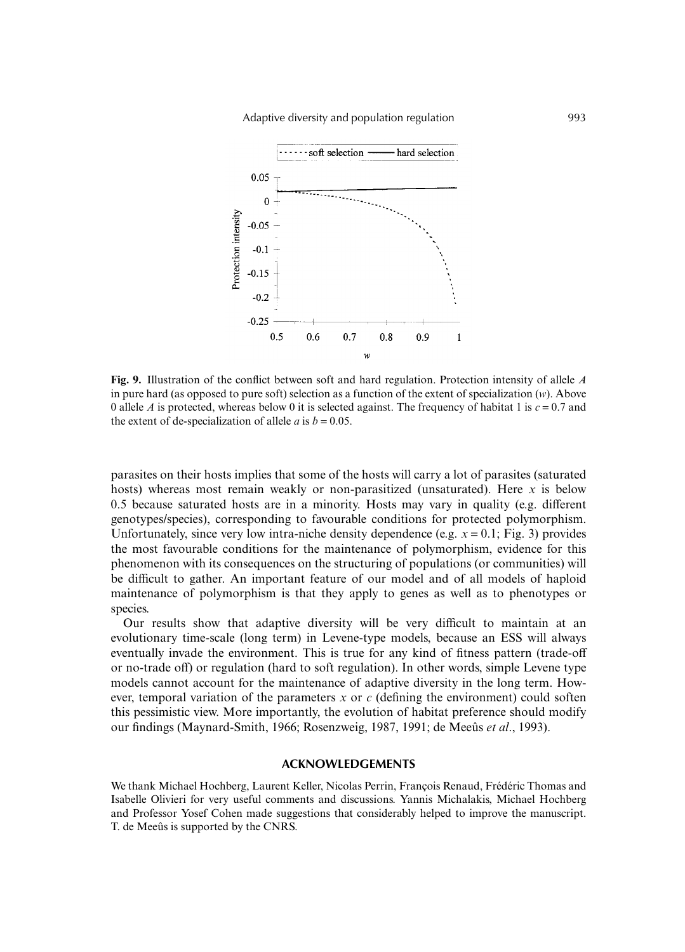

**Fig. 9.** Illustration of the conflict between soft and hard regulation. Protection intensity of allele *A* in pure hard (as opposed to pure soft) selection as a function of the extent of specialization (*w*). Above 0 allele *A* is protected, whereas below 0 it is selected against. The frequency of habitat 1 is  $c = 0.7$  and the extent of de-specialization of allele *a* is  $b = 0.05$ .

parasites on their hosts implies that some of the hosts will carry a lot of parasites (saturated hosts) whereas most remain weakly or non-parasitized (unsaturated). Here *x* is below 0.5 because saturated hosts are in a minority. Hosts may vary in quality (e.g. different genotypes/species), corresponding to favourable conditions for protected polymorphism. Unfortunately, since very low intra-niche density dependence (e.g.  $x = 0.1$ ; Fig. 3) provides the most favourable conditions for the maintenance of polymorphism, evidence for this phenomenon with its consequences on the structuring of populations (or communities) will be difficult to gather. An important feature of our model and of all models of haploid maintenance of polymorphism is that they apply to genes as well as to phenotypes or species.

Our results show that adaptive diversity will be very difficult to maintain at an evolutionary time-scale (long term) in Levene-type models, because an ESS will always eventually invade the environment. This is true for any kind of fitness pattern (trade-off or no-trade off) or regulation (hard to soft regulation). In other words, simple Levene type models cannot account for the maintenance of adaptive diversity in the long term. However, temporal variation of the parameters *x* or *c* (defining the environment) could soften this pessimistic view. More importantly, the evolution of habitat preference should modify our findings (Maynard-Smith, 1966; Rosenzweig, 1987, 1991; de Meeûs *et al*., 1993).

### **ACKNOWLEDGEMENTS**

We thank Michael Hochberg, Laurent Keller, Nicolas Perrin, François Renaud, Frédéric Thomas and Isabelle Olivieri for very useful comments and discussions. Yannis Michalakis, Michael Hochberg and Professor Yosef Cohen made suggestions that considerably helped to improve the manuscript. T. de Meeûs is supported by the CNRS.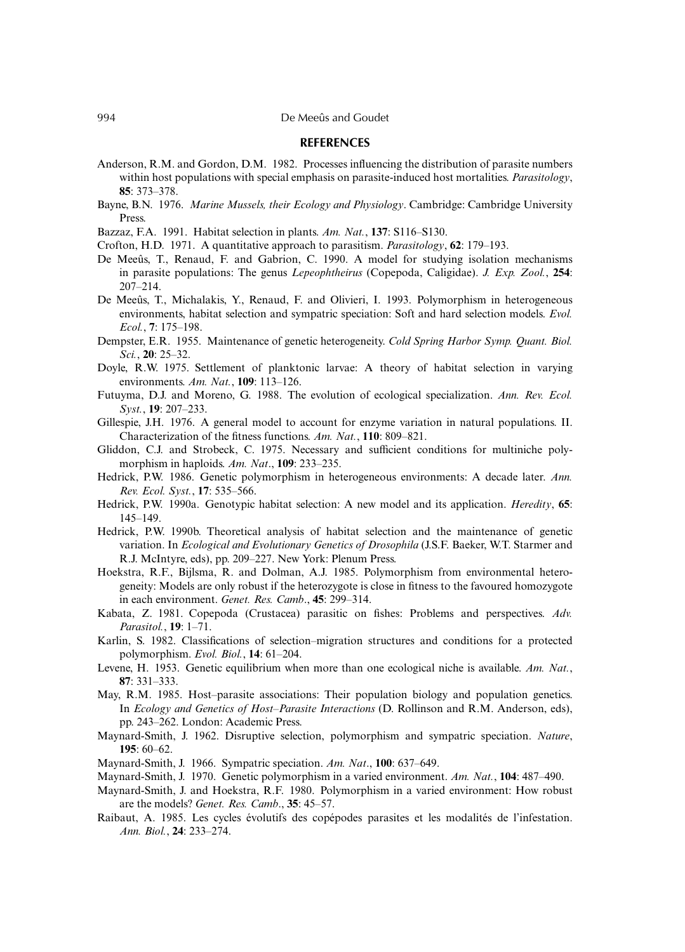#### **REFERENCES**

- Anderson, R.M. and Gordon, D.M. 1982. Processes influencing the distribution of parasite numbers within host populations with special emphasis on parasite-induced host mortalities. *Parasitology*, **85**: 373–378.
- Bayne, B.N. 1976. *Marine Mussels, their Ecology and Physiology*. Cambridge: Cambridge University Press.
- Bazzaz, F.A. 1991. Habitat selection in plants. *Am. Nat.*, **137**: S116–S130.
- Crofton, H.D. 1971. A quantitative approach to parasitism. *Parasitology*, **62**: 179–193.
- De Meeûs, T., Renaud, F. and Gabrion, C. 1990. A model for studying isolation mechanisms in parasite populations: The genus *Lepeophtheirus* (Copepoda, Caligidae). *J. Exp. Zool.*, **254**: 207–214.
- De Meeûs, T., Michalakis, Y., Renaud, F. and Olivieri, I. 1993. Polymorphism in heterogeneous environments, habitat selection and sympatric speciation: Soft and hard selection models. *Evol. Ecol.*, **7**: 175–198.
- Dempster, E.R. 1955. Maintenance of genetic heterogeneity. *Cold Spring Harbor Symp. Quant. Biol. Sci.*, **20**: 25–32.
- Doyle, R.W. 1975. Settlement of planktonic larvae: A theory of habitat selection in varying environments. *Am. Nat.*, **109**: 113–126.
- Futuyma, D.J. and Moreno, G. 1988. The evolution of ecological specialization. *Ann. Rev. Ecol. Syst.*, **19**: 207–233.
- Gillespie, J.H. 1976. A general model to account for enzyme variation in natural populations. II. Characterization of the fitness functions. *Am. Nat.*, **110**: 809–821.
- Gliddon, C.J. and Strobeck, C. 1975. Necessary and sufficient conditions for multiniche polymorphism in haploids. *Am. Nat*., **109**: 233–235.
- Hedrick, P.W. 1986. Genetic polymorphism in heterogeneous environments: A decade later. *Ann. Rev. Ecol. Syst.*, **17**: 535–566.
- Hedrick, P.W. 1990a. Genotypic habitat selection: A new model and its application. *Heredity*, **65**: 145–149.
- Hedrick, P.W. 1990b. Theoretical analysis of habitat selection and the maintenance of genetic variation. In *Ecological and Evolutionary Genetics of Drosophila* (J.S.F. Baeker, W.T. Starmer and R.J. McIntyre, eds), pp. 209–227. New York: Plenum Press.
- Hoekstra, R.F., Bijlsma, R. and Dolman, A.J. 1985. Polymorphism from environmental heterogeneity: Models are only robust if the heterozygote is close in fitness to the favoured homozygote in each environment. *Genet. Res. Camb*., **45**: 299–314.
- Kabata, Z. 1981. Copepoda (Crustacea) parasitic on fishes: Problems and perspectives. *Adv. Parasitol.*, **19**: 1–71.
- Karlin, S. 1982. Classifications of selection–migration structures and conditions for a protected polymorphism. *Evol. Biol.*, **14**: 61–204.
- Levene, H. 1953. Genetic equilibrium when more than one ecological niche is available. *Am. Nat.*, **87**: 331–333.
- May, R.M. 1985. Host–parasite associations: Their population biology and population genetics. In *Ecology and Genetics of Host–Parasite Interactions* (D. Rollinson and R.M. Anderson, eds), pp. 243–262. London: Academic Press.
- Maynard-Smith, J. 1962. Disruptive selection, polymorphism and sympatric speciation. *Nature*, **195**: 60–62.
- Maynard-Smith, J. 1966. Sympatric speciation. *Am. Nat*., **100**: 637–649.
- Maynard-Smith, J. 1970. Genetic polymorphism in a varied environment. *Am. Nat.*, **104**: 487–490.
- Maynard-Smith, J. and Hoekstra, R.F. 1980. Polymorphism in a varied environment: How robust are the models? *Genet. Res. Camb*., **35**: 45–57.
- Raibaut, A. 1985. Les cycles évolutifs des copépodes parasites et les modalités de l'infestation. *Ann. Biol.*, **24**: 233–274.